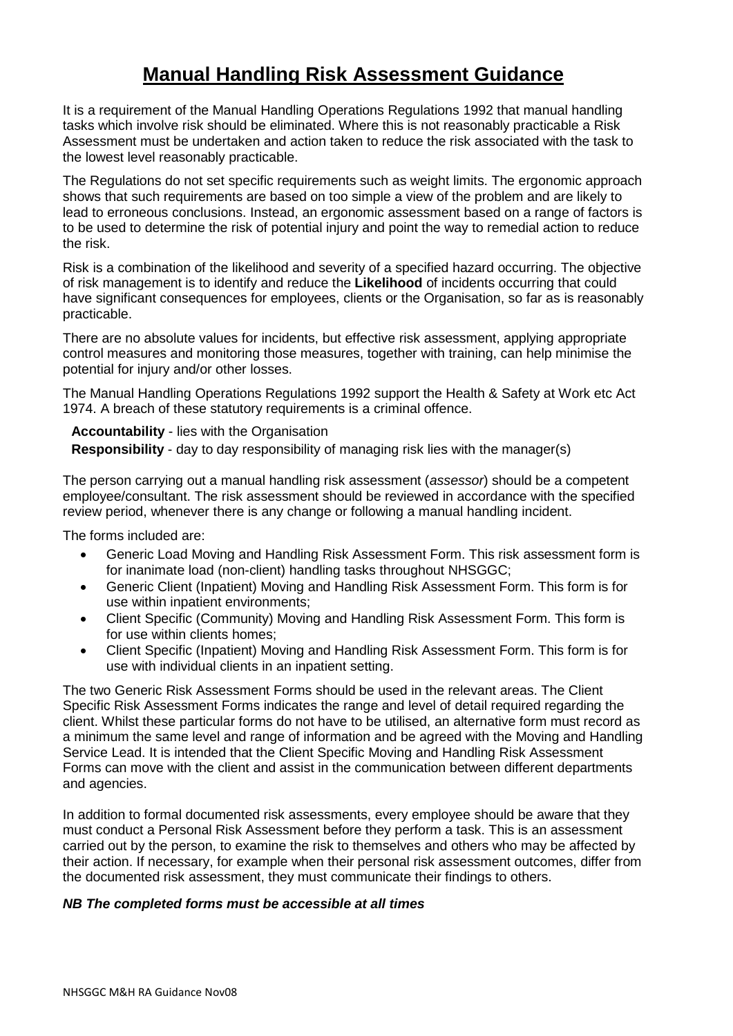# **Manual Handling Risk Assessment Guidance**

It is a requirement of the Manual Handling Operations Regulations 1992 that manual handling tasks which involve risk should be eliminated. Where this is not reasonably practicable a Risk Assessment must be undertaken and action taken to reduce the risk associated with the task to the lowest level reasonably practicable.

The Regulations do not set specific requirements such as weight limits. The ergonomic approach shows that such requirements are based on too simple a view of the problem and are likely to lead to erroneous conclusions. Instead, an ergonomic assessment based on a range of factors is to be used to determine the risk of potential injury and point the way to remedial action to reduce the risk.

Risk is a combination of the likelihood and severity of a specified hazard occurring. The objective of risk management is to identify and reduce the **Likelihood** of incidents occurring that could have significant consequences for employees, clients or the Organisation, so far as is reasonably practicable.

There are no absolute values for incidents, but effective risk assessment, applying appropriate control measures and monitoring those measures, together with training, can help minimise the potential for injury and/or other losses.

The Manual Handling Operations Regulations 1992 support the Health & Safety at Work etc Act 1974. A breach of these statutory requirements is a criminal offence.

#### **Accountability** - lies with the Organisation

**Responsibility** - day to day responsibility of managing risk lies with the manager(s)

The person carrying out a manual handling risk assessment (*assessor*) should be a competent employee/consultant. The risk assessment should be reviewed in accordance with the specified review period, whenever there is any change or following a manual handling incident.

The forms included are:

- Generic Load Moving and Handling Risk Assessment Form. This risk assessment form is for inanimate load (non-client) handling tasks throughout NHSGGC;
- Generic Client (Inpatient) Moving and Handling Risk Assessment Form. This form is for use within inpatient environments;
- Client Specific (Community) Moving and Handling Risk Assessment Form. This form is for use within clients homes;
- Client Specific (Inpatient) Moving and Handling Risk Assessment Form. This form is for use with individual clients in an inpatient setting.

The two Generic Risk Assessment Forms should be used in the relevant areas. The Client Specific Risk Assessment Forms indicates the range and level of detail required regarding the client. Whilst these particular forms do not have to be utilised, an alternative form must record as a minimum the same level and range of information and be agreed with the Moving and Handling Service Lead. It is intended that the Client Specific Moving and Handling Risk Assessment Forms can move with the client and assist in the communication between different departments and agencies.

In addition to formal documented risk assessments, every employee should be aware that they must conduct a Personal Risk Assessment before they perform a task. This is an assessment carried out by the person, to examine the risk to themselves and others who may be affected by their action. If necessary, for example when their personal risk assessment outcomes, differ from the documented risk assessment, they must communicate their findings to others.

#### *NB The completed forms must be accessible at all times*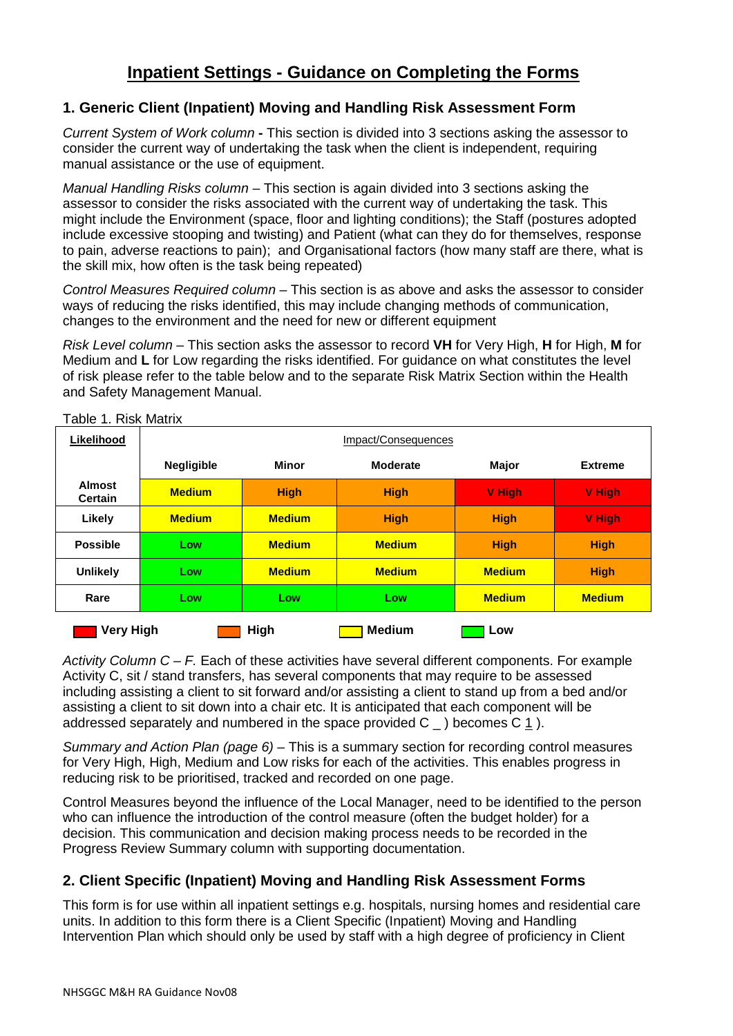# **Inpatient Settings - Guidance on Completing the Forms**

## **1. Generic Client (Inpatient) Moving and Handling Risk Assessment Form**

*Current System of Work column* **-** This section is divided into 3 sections asking the assessor to consider the current way of undertaking the task when the client is independent, requiring manual assistance or the use of equipment.

*Manual Handling Risks column* – This section is again divided into 3 sections asking the assessor to consider the risks associated with the current way of undertaking the task. This might include the Environment (space, floor and lighting conditions); the Staff (postures adopted include excessive stooping and twisting) and Patient (what can they do for themselves, response to pain, adverse reactions to pain); and Organisational factors (how many staff are there, what is the skill mix, how often is the task being repeated)

*Control Measures Required column* – This section is as above and asks the assessor to consider ways of reducing the risks identified, this may include changing methods of communication, changes to the environment and the need for new or different equipment

*Risk Level column* – This section asks the assessor to record **VH** for Very High, **H** for High, **M** for Medium and **L** for Low regarding the risks identified. For guidance on what constitutes the level of risk please refer to the table below and to the separate Risk Matrix Section within the Health and Safety Management Manual.

| Likelihood                      | Impact/Consequences |               |                 |               |                |
|---------------------------------|---------------------|---------------|-----------------|---------------|----------------|
|                                 | <b>Negligible</b>   | <b>Minor</b>  | <b>Moderate</b> | Major         | <b>Extreme</b> |
| <b>Almost</b><br><b>Certain</b> | <b>Medium</b>       | <b>High</b>   | <b>High</b>     | <b>V</b> High | V High         |
| Likely                          | <b>Medium</b>       | <b>Medium</b> | <b>High</b>     | <b>High</b>   | <b>V</b> High  |
| <b>Possible</b>                 | Low                 | <b>Medium</b> | <b>Medium</b>   | <b>High</b>   | <b>High</b>    |
| <b>Unlikely</b>                 | Low                 | <b>Medium</b> | <b>Medium</b>   | <b>Medium</b> | <b>High</b>    |
| Rare                            | Low                 | Low           | Low             | <b>Medium</b> | <b>Medium</b>  |
| <b>High</b><br><b>Very High</b> |                     |               | <b>Medium</b>   | Low           |                |

Table 1. Risk Matrix

*Activity Column C – F.* Each of these activities have several different components. For example Activity C, sit / stand transfers, has several components that may require to be assessed including assisting a client to sit forward and/or assisting a client to stand up from a bed and/or assisting a client to sit down into a chair etc. It is anticipated that each component will be addressed separately and numbered in the space provided C \_ ) becomes C 1 ).

*Summary and Action Plan (page 6) –* This is a summary section for recording control measures for Very High, High, Medium and Low risks for each of the activities. This enables progress in reducing risk to be prioritised, tracked and recorded on one page.

Control Measures beyond the influence of the Local Manager, need to be identified to the person who can influence the introduction of the control measure (often the budget holder) for a decision. This communication and decision making process needs to be recorded in the Progress Review Summary column with supporting documentation.

## **2. Client Specific (Inpatient) Moving and Handling Risk Assessment Forms**

This form is for use within all inpatient settings e.g. hospitals, nursing homes and residential care units. In addition to this form there is a Client Specific (Inpatient) Moving and Handling Intervention Plan which should only be used by staff with a high degree of proficiency in Client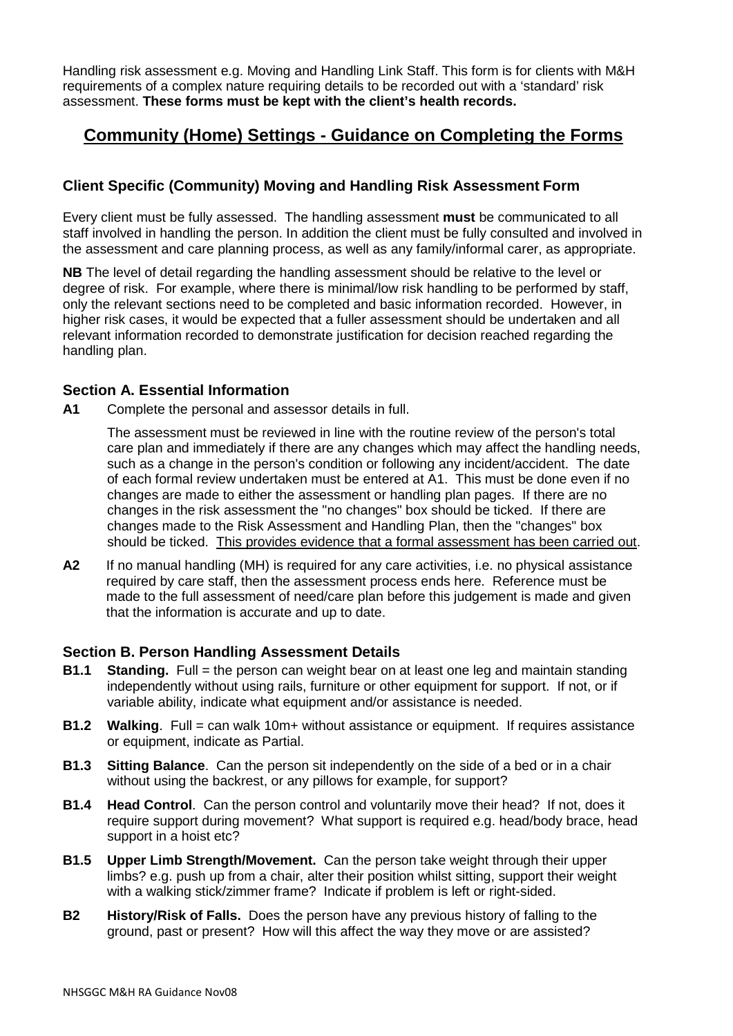Handling risk assessment e.g. Moving and Handling Link Staff. This form is for clients with M&H requirements of a complex nature requiring details to be recorded out with a 'standard' risk assessment. **These forms must be kept with the client's health records.**

# **Community (Home) Settings - Guidance on Completing the Forms**

# **Client Specific (Community) Moving and Handling Risk Assessment Form**

Every client must be fully assessed. The handling assessment **must** be communicated to all staff involved in handling the person. In addition the client must be fully consulted and involved in the assessment and care planning process, as well as any family/informal carer, as appropriate.

**NB** The level of detail regarding the handling assessment should be relative to the level or degree of risk. For example, where there is minimal/low risk handling to be performed by staff, only the relevant sections need to be completed and basic information recorded. However, in higher risk cases, it would be expected that a fuller assessment should be undertaken and all relevant information recorded to demonstrate justification for decision reached regarding the handling plan.

### **Section A. Essential Information**

**A1** Complete the personal and assessor details in full.

The assessment must be reviewed in line with the routine review of the person's total care plan and immediately if there are any changes which may affect the handling needs, such as a change in the person's condition or following any incident/accident. The date of each formal review undertaken must be entered at A1. This must be done even if no changes are made to either the assessment or handling plan pages. If there are no changes in the risk assessment the "no changes" box should be ticked. If there are changes made to the Risk Assessment and Handling Plan, then the "changes" box should be ticked. This provides evidence that a formal assessment has been carried out.

**A2** If no manual handling (MH) is required for any care activities, i.e. no physical assistance required by care staff, then the assessment process ends here. Reference must be made to the full assessment of need/care plan before this judgement is made and given that the information is accurate and up to date.

## **Section B. Person Handling Assessment Details**

- **B1.1 Standing.** Full = the person can weight bear on at least one leg and maintain standing independently without using rails, furniture or other equipment for support. If not, or if variable ability, indicate what equipment and/or assistance is needed.
- **B1.2 Walking.** Full = can walk 10m+ without assistance or equipment. If requires assistance or equipment, indicate as Partial.
- **B1.3 Sitting Balance**. Can the person sit independently on the side of a bed or in a chair without using the backrest, or any pillows for example, for support?
- **B1.4 Head Control**. Can the person control and voluntarily move their head? If not, does it require support during movement? What support is required e.g. head/body brace, head support in a hoist etc?
- **B1.5 Upper Limb Strength/Movement.** Can the person take weight through their upper limbs? e.g. push up from a chair, alter their position whilst sitting, support their weight with a walking stick/zimmer frame? Indicate if problem is left or right-sided.
- **B2 History/Risk of Falls.** Does the person have any previous history of falling to the ground, past or present? How will this affect the way they move or are assisted?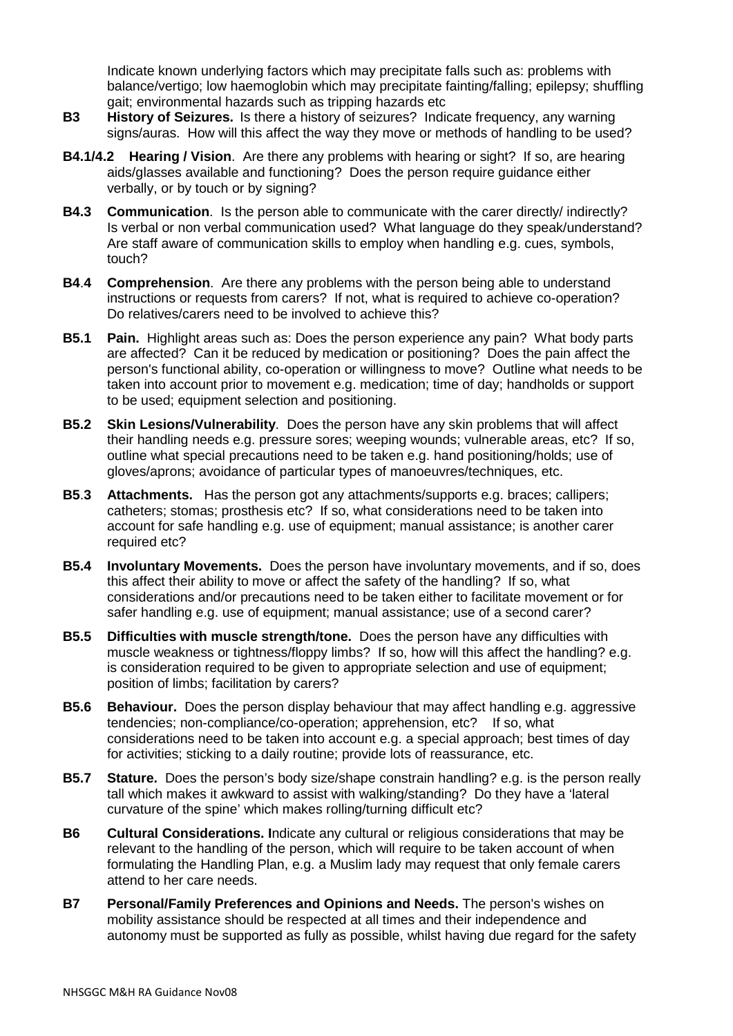Indicate known underlying factors which may precipitate falls such as: problems with balance/vertigo; low haemoglobin which may precipitate fainting/falling; epilepsy; shuffling gait; environmental hazards such as tripping hazards etc

- **B3 History of Seizures.** Is there a history of seizures? Indicate frequency, any warning signs/auras. How will this affect the way they move or methods of handling to be used?
- **B4.1/4.2 Hearing / Vision**.Are there any problems with hearing or sight? If so, are hearing aids/glasses available and functioning? Does the person require guidance either verbally, or by touch or by signing?
- **B4.3 Communication**. Is the person able to communicate with the carer directly/ indirectly? Is verbal or non verbal communication used? What language do they speak/understand? Are staff aware of communication skills to employ when handling e.g. cues, symbols, touch?
- **B4**.**4 Comprehension**. Are there any problems with the person being able to understand instructions or requests from carers? If not, what is required to achieve co-operation? Do relatives/carers need to be involved to achieve this?
- **B5.1 Pain.** Highlight areas such as: Does the person experience any pain? What body parts are affected? Can it be reduced by medication or positioning? Does the pain affect the person's functional ability, co-operation or willingness to move? Outline what needs to be taken into account prior to movement e.g. medication; time of day; handholds or support to be used; equipment selection and positioning.
- **B5.2 Skin Lesions/Vulnerability**. Does the person have any skin problems that will affect their handling needs e.g. pressure sores; weeping wounds; vulnerable areas, etc? If so, outline what special precautions need to be taken e.g. hand positioning/holds; use of gloves/aprons; avoidance of particular types of manoeuvres/techniques, etc.
- **B5**.**3 Attachments.** Has the person got any attachments/supports e.g. braces; callipers; catheters; stomas; prosthesis etc? If so, what considerations need to be taken into account for safe handling e.g. use of equipment; manual assistance; is another carer required etc?
- **B5.4 Involuntary Movements.** Does the person have involuntary movements, and if so, does this affect their ability to move or affect the safety of the handling? If so, what considerations and/or precautions need to be taken either to facilitate movement or for safer handling e.g. use of equipment; manual assistance; use of a second carer?
- **B5.5 Difficulties with muscle strength/tone.** Does the person have any difficulties with muscle weakness or tightness/floppy limbs? If so, how will this affect the handling? e.g. is consideration required to be given to appropriate selection and use of equipment; position of limbs; facilitation by carers?
- **B5.6 Behaviour.** Does the person display behaviour that may affect handling e.g. aggressive tendencies; non-compliance/co-operation; apprehension, etc? If so, what considerations need to be taken into account e.g. a special approach; best times of day for activities; sticking to a daily routine; provide lots of reassurance, etc.
- **B5.7 Stature.** Does the person's body size/shape constrain handling? e.g. is the person really tall which makes it awkward to assist with walking/standing? Do they have a 'lateral curvature of the spine' which makes rolling/turning difficult etc?
- **B6 Cultural Considerations. I**ndicate any cultural or religious considerations that may be relevant to the handling of the person, which will require to be taken account of when formulating the Handling Plan, e.g. a Muslim lady may request that only female carers attend to her care needs.
- **B7 Personal/Family Preferences and Opinions and Needs.** The person's wishes on mobility assistance should be respected at all times and their independence and autonomy must be supported as fully as possible, whilst having due regard for the safety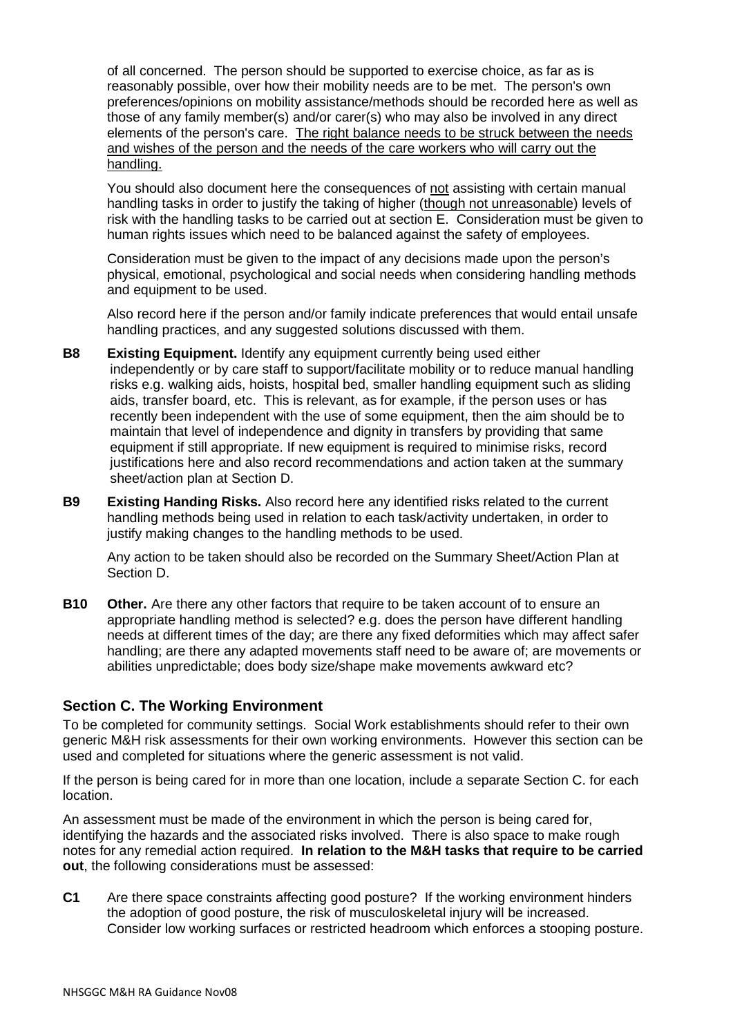of all concerned. The person should be supported to exercise choice, as far as is reasonably possible, over how their mobility needs are to be met. The person's own preferences/opinions on mobility assistance/methods should be recorded here as well as those of any family member(s) and/or carer(s) who may also be involved in any direct elements of the person's care. The right balance needs to be struck between the needs and wishes of the person and the needs of the care workers who will carry out the handling.

You should also document here the consequences of not assisting with certain manual handling tasks in order to justify the taking of higher (though not unreasonable) levels of risk with the handling tasks to be carried out at section E. Consideration must be given to human rights issues which need to be balanced against the safety of employees.

Consideration must be given to the impact of any decisions made upon the person's physical, emotional, psychological and social needs when considering handling methods and equipment to be used.

Also record here if the person and/or family indicate preferences that would entail unsafe handling practices, and any suggested solutions discussed with them.

- **B8 Existing Equipment.** Identify any equipment currently being used either independently or by care staff to support/facilitate mobility or to reduce manual handling risks e.g. walking aids, hoists, hospital bed, smaller handling equipment such as sliding aids, transfer board, etc. This is relevant, as for example, if the person uses or has recently been independent with the use of some equipment, then the aim should be to maintain that level of independence and dignity in transfers by providing that same equipment if still appropriate. If new equipment is required to minimise risks, record justifications here and also record recommendations and action taken at the summary sheet/action plan at Section D.
- **B9 Existing Handing Risks.** Also record here any identified risks related to the current handling methods being used in relation to each task/activity undertaken, in order to justify making changes to the handling methods to be used.

Any action to be taken should also be recorded on the Summary Sheet/Action Plan at Section D.

**B10 Other.** Are there any other factors that require to be taken account of to ensure an appropriate handling method is selected? e.g. does the person have different handling needs at different times of the day; are there any fixed deformities which may affect safer handling; are there any adapted movements staff need to be aware of; are movements or abilities unpredictable; does body size/shape make movements awkward etc?

#### **Section C. The Working Environment**

To be completed for community settings. Social Work establishments should refer to their own generic M&H risk assessments for their own working environments. However this section can be used and completed for situations where the generic assessment is not valid.

If the person is being cared for in more than one location, include a separate Section C. for each location.

An assessment must be made of the environment in which the person is being cared for, identifying the hazards and the associated risks involved. There is also space to make rough notes for any remedial action required. **In relation to the M&H tasks that require to be carried out**, the following considerations must be assessed:

**C1** Are there space constraints affecting good posture? If the working environment hinders the adoption of good posture, the risk of musculoskeletal injury will be increased. Consider low working surfaces or restricted headroom which enforces a stooping posture.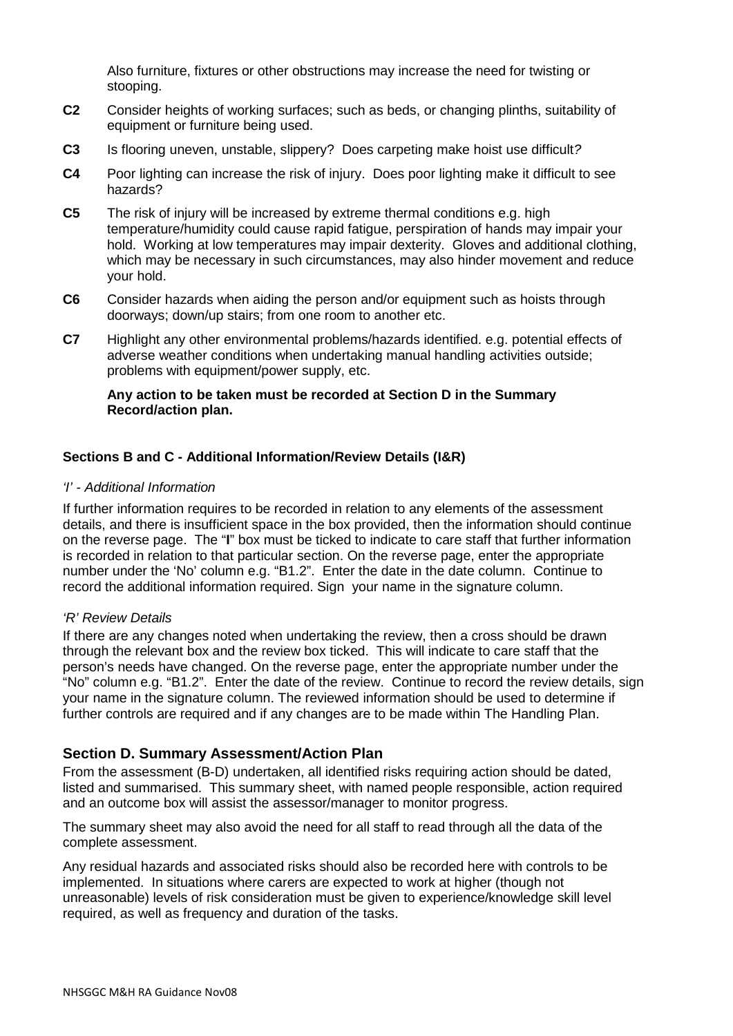Also furniture, fixtures or other obstructions may increase the need for twisting or stooping.

- **C2** Consider heights of working surfaces; such as beds, or changing plinths, suitability of equipment or furniture being used.
- **C3** Is flooring uneven, unstable, slippery? Does carpeting make hoist use difficult*?*
- **C4** Poor lighting can increase the risk of injury. Does poor lighting make it difficult to see hazards?
- **C5** The risk of injury will be increased by extreme thermal conditions e.g. high temperature/humidity could cause rapid fatigue, perspiration of hands may impair your hold. Working at low temperatures may impair dexterity. Gloves and additional clothing, which may be necessary in such circumstances, may also hinder movement and reduce your hold.
- **C6** Consider hazards when aiding the person and/or equipment such as hoists through doorways; down/up stairs; from one room to another etc.
- **C7** Highlight any other environmental problems/hazards identified. e.g. potential effects of adverse weather conditions when undertaking manual handling activities outside; problems with equipment/power supply, etc.

#### **Any action to be taken must be recorded at Section D in the Summary Record/action plan.**

### **Sections B and C - Additional Information/Review Details (I&R)**

#### *'I' - Additional Information*

If further information requires to be recorded in relation to any elements of the assessment details, and there is insufficient space in the box provided, then the information should continue on the reverse page. The "**I**" box must be ticked to indicate to care staff that further information is recorded in relation to that particular section. On the reverse page, enter the appropriate number under the 'No' column e.g. "B1.2". Enter the date in the date column. Continue to record the additional information required. Sign your name in the signature column.

#### *'R' Review Details*

If there are any changes noted when undertaking the review, then a cross should be drawn through the relevant box and the review box ticked. This will indicate to care staff that the person's needs have changed. On the reverse page, enter the appropriate number under the "No" column e.g. "B1.2". Enter the date of the review. Continue to record the review details, sign your name in the signature column. The reviewed information should be used to determine if further controls are required and if any changes are to be made within The Handling Plan.

## **Section D. Summary Assessment/Action Plan**

From the assessment (B-D) undertaken, all identified risks requiring action should be dated, listed and summarised. This summary sheet, with named people responsible, action required and an outcome box will assist the assessor/manager to monitor progress.

The summary sheet may also avoid the need for all staff to read through all the data of the complete assessment.

Any residual hazards and associated risks should also be recorded here with controls to be implemented. In situations where carers are expected to work at higher (though not unreasonable) levels of risk consideration must be given to experience/knowledge skill level required, as well as frequency and duration of the tasks.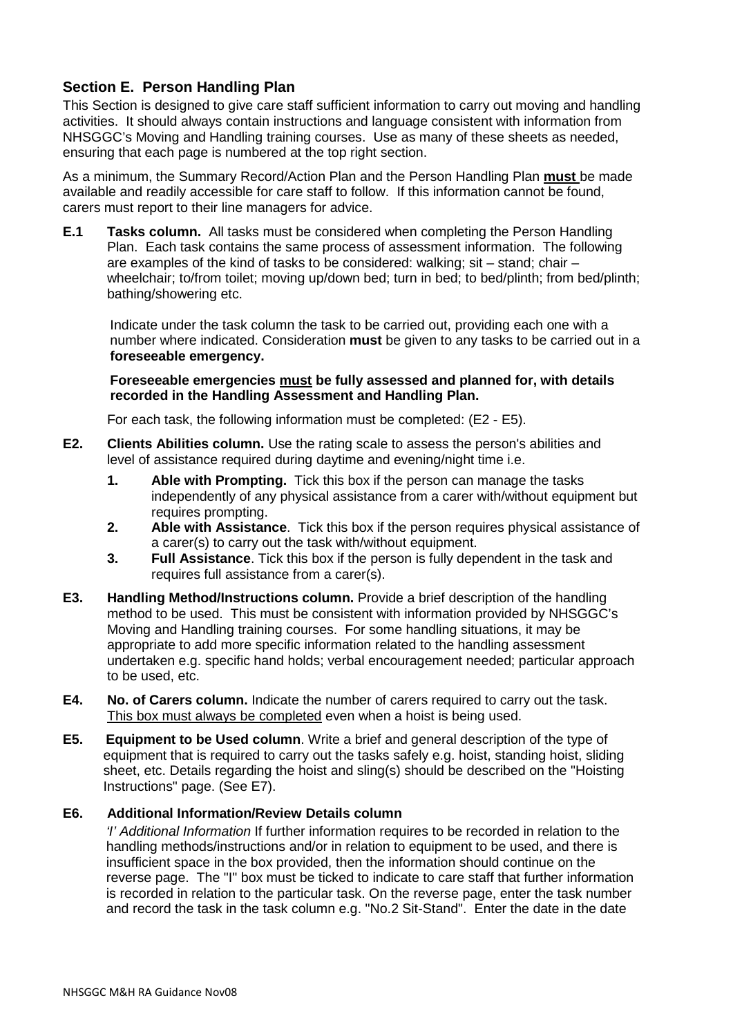# **Section E. Person Handling Plan**

This Section is designed to give care staff sufficient information to carry out moving and handling activities. It should always contain instructions and language consistent with information from NHSGGC's Moving and Handling training courses. Use as many of these sheets as needed, ensuring that each page is numbered at the top right section.

As a minimum, the Summary Record/Action Plan and the Person Handling Plan **must** be made available and readily accessible for care staff to follow. If this information cannot be found, carers must report to their line managers for advice.

**E.1 Tasks column.** All tasks must be considered when completing the Person Handling Plan. Each task contains the same process of assessment information. The following are examples of the kind of tasks to be considered: walking; sit – stand; chair – wheelchair; to/from toilet; moving up/down bed; turn in bed; to bed/plinth; from bed/plinth; bathing/showering etc.

Indicate under the task column the task to be carried out, providing each one with a number where indicated. Consideration **must** be given to any tasks to be carried out in a **foreseeable emergency.**

#### **Foreseeable emergencies must be fully assessed and planned for, with details recorded in the Handling Assessment and Handling Plan.**

For each task, the following information must be completed: (E2 - E5).

- **E2. Clients Abilities column.** Use the rating scale to assess the person's abilities and level of assistance required during daytime and evening/night time i.e.
	- **1. Able with Prompting.** Tick this box if the person can manage the tasks independently of any physical assistance from a carer with/without equipment but requires prompting.
	- **2. Able with Assistance**. Tick this box if the person requires physical assistance of a carer(s) to carry out the task with/without equipment.
	- **3. Full Assistance**. Tick this box if the person is fully dependent in the task and requires full assistance from a carer(s).
- **E3. Handling Method/Instructions column.** Provide a brief description of the handling method to be used. This must be consistent with information provided by NHSGGC's Moving and Handling training courses. For some handling situations, it may be appropriate to add more specific information related to the handling assessment undertaken e.g. specific hand holds; verbal encouragement needed; particular approach to be used, etc.
- **E4. No. of Carers column.** Indicate the number of carers required to carry out the task. This box must always be completed even when a hoist is being used.
- **E5. Equipment to be Used column**. Write a brief and general description of the type of equipment that is required to carry out the tasks safely e.g. hoist, standing hoist, sliding sheet, etc. Details regarding the hoist and sling(s) should be described on the "Hoisting Instructions" page. (See E7).

#### **E6. Additional Information/Review Details column**

*'I' Additional Information* If further information requires to be recorded in relation to the handling methods/instructions and/or in relation to equipment to be used, and there is insufficient space in the box provided, then the information should continue on the reverse page. The "I" box must be ticked to indicate to care staff that further information is recorded in relation to the particular task. On the reverse page, enter the task number and record the task in the task column e.g. "No.2 Sit-Stand". Enter the date in the date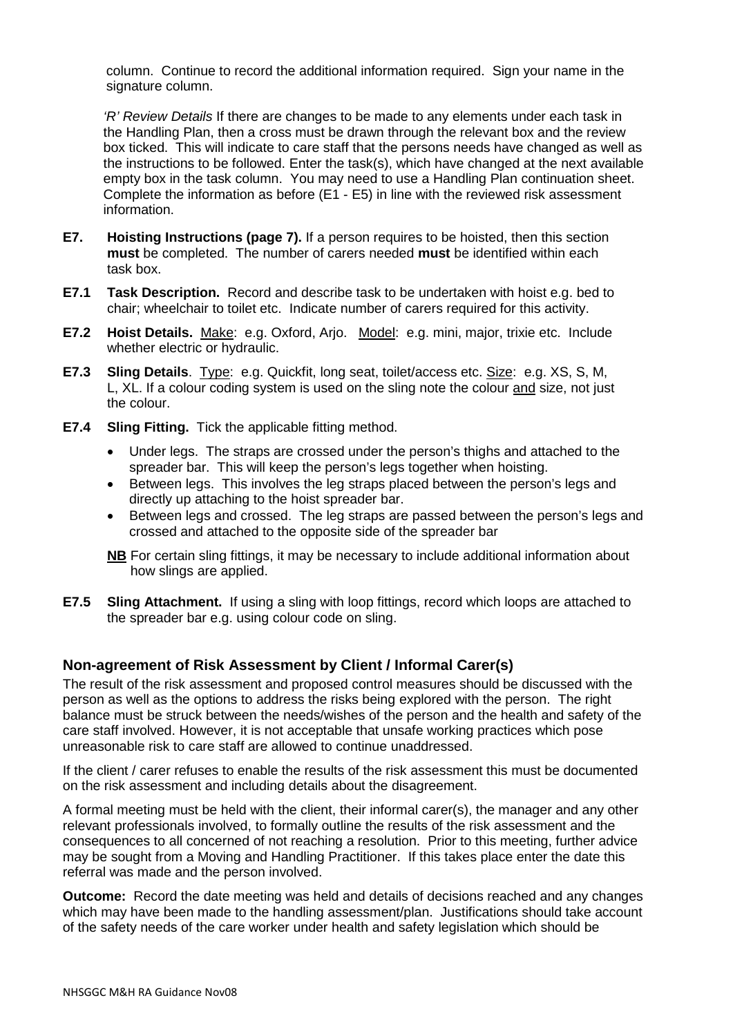column. Continue to record the additional information required. Sign your name in the signature column.

*'R' Review Details* If there are changes to be made to any elements under each task in the Handling Plan, then a cross must be drawn through the relevant box and the review box ticked. This will indicate to care staff that the persons needs have changed as well as the instructions to be followed. Enter the task(s), which have changed at the next available empty box in the task column. You may need to use a Handling Plan continuation sheet. Complete the information as before (E1 - E5) in line with the reviewed risk assessment information.

- **E7. Hoisting Instructions (page 7).** If a person requires to be hoisted, then this section **must** be completed. The number of carers needed **must** be identified within each task box.
- **E7.1 Task Description.** Record and describe task to be undertaken with hoist e.g. bed to chair; wheelchair to toilet etc. Indicate number of carers required for this activity.
- **E7.2 Hoist Details.** Make: e.g. Oxford, Arjo. Model: e.g. mini, major, trixie etc. Include whether electric or hydraulic.
- **E7.3 Sling Details**. Type: e.g. Quickfit, long seat, toilet/access etc. Size: e.g. XS, S, M, L, XL. If a colour coding system is used on the sling note the colour and size, not just the colour.
- **E7.4 Sling Fitting.** Tick the applicable fitting method.
	- Under legs. The straps are crossed under the person's thighs and attached to the spreader bar. This will keep the person's legs together when hoisting.
	- Between legs. This involves the leg straps placed between the person's legs and directly up attaching to the hoist spreader bar.
	- Between legs and crossed. The leg straps are passed between the person's legs and crossed and attached to the opposite side of the spreader bar
	- **NB** For certain sling fittings, it may be necessary to include additional information about how slings are applied.
- **E7.5 Sling Attachment.** If using a sling with loop fittings, record which loops are attached to the spreader bar e.g. using colour code on sling.

# **Non-agreement of Risk Assessment by Client / Informal Carer(s)**

The result of the risk assessment and proposed control measures should be discussed with the person as well as the options to address the risks being explored with the person. The right balance must be struck between the needs/wishes of the person and the health and safety of the care staff involved. However, it is not acceptable that unsafe working practices which pose unreasonable risk to care staff are allowed to continue unaddressed.

If the client / carer refuses to enable the results of the risk assessment this must be documented on the risk assessment and including details about the disagreement.

A formal meeting must be held with the client, their informal carer(s), the manager and any other relevant professionals involved, to formally outline the results of the risk assessment and the consequences to all concerned of not reaching a resolution. Prior to this meeting, further advice may be sought from a Moving and Handling Practitioner. If this takes place enter the date this referral was made and the person involved.

**Outcome:** Record the date meeting was held and details of decisions reached and any changes which may have been made to the handling assessment/plan. Justifications should take account of the safety needs of the care worker under health and safety legislation which should be